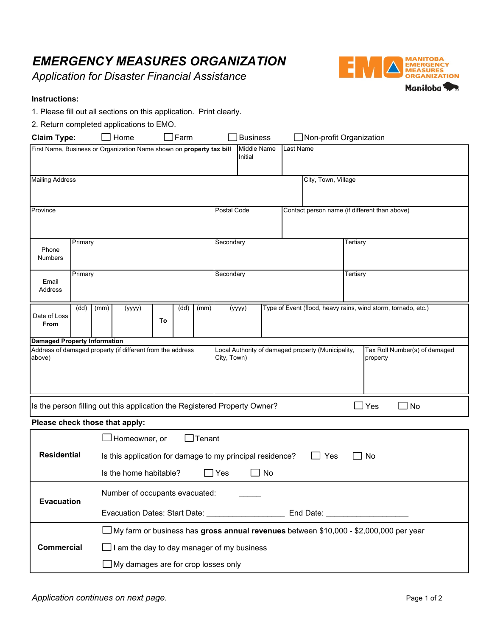## *EMERGENCY MEASURES ORGANIZATION*

*Application for Disaster Financial Assistance*



## **Instructions:**

1. Please fill out all sections on this application. Print clearly.

| 2. Return completed applications to EMO.                                  |                                                                                              |                                |                                                                        |    |                                                                   |      |                                                                         |                                |                                               |                                           |  |          |                       |  |
|---------------------------------------------------------------------------|----------------------------------------------------------------------------------------------|--------------------------------|------------------------------------------------------------------------|----|-------------------------------------------------------------------|------|-------------------------------------------------------------------------|--------------------------------|-----------------------------------------------|-------------------------------------------|--|----------|-----------------------|--|
| Home<br>Farm<br><b>Claim Type:</b>                                        |                                                                                              |                                |                                                                        |    | <b>Business</b>                                                   |      |                                                                         | $\Box$ Non-profit Organization |                                               |                                           |  |          |                       |  |
| First Name, Business or Organization Name shown on property tax bill      |                                                                                              |                                |                                                                        |    |                                                                   |      |                                                                         | <b>Middle Name</b><br>Initial  |                                               | Last Name                                 |  |          |                       |  |
| <b>Mailing Address</b>                                                    |                                                                                              |                                |                                                                        |    | City, Town, Village                                               |      |                                                                         |                                |                                               |                                           |  |          |                       |  |
|                                                                           |                                                                                              |                                |                                                                        |    |                                                                   |      |                                                                         |                                |                                               |                                           |  |          |                       |  |
| Province                                                                  |                                                                                              |                                |                                                                        |    | Postal Code                                                       |      |                                                                         |                                | Contact person name (if different than above) |                                           |  |          |                       |  |
| Phone<br><b>Numbers</b>                                                   | Primary                                                                                      |                                |                                                                        |    |                                                                   |      | Secondary                                                               |                                |                                               |                                           |  | Tertiary |                       |  |
| Email<br>Address                                                          | Primary                                                                                      |                                |                                                                        |    |                                                                   |      | Secondary                                                               |                                |                                               |                                           |  | Tertiary |                       |  |
| Date of Loss<br>From                                                      | (dd)                                                                                         | (mm)                           | (yyyy)                                                                 | To | (dd)                                                              | (mm) | Type of Event (flood, heavy rains, wind storm, tornado, etc.)<br>(yyyy) |                                |                                               |                                           |  |          |                       |  |
| <b>Damaged Property Information</b>                                       |                                                                                              |                                |                                                                        |    |                                                                   |      |                                                                         |                                |                                               |                                           |  |          |                       |  |
| Address of damaged property (if different from the address<br>above)      |                                                                                              |                                |                                                                        |    | Local Authority of damaged property (Municipality,<br>City, Town) |      |                                                                         |                                |                                               | Tax Roll Number(s) of damaged<br>property |  |          |                       |  |
| Is the person filling out this application the Registered Property Owner? |                                                                                              |                                |                                                                        |    |                                                                   |      |                                                                         |                                |                                               |                                           |  |          | $\sqsupset$ Yes<br>No |  |
| Please check those that apply:                                            |                                                                                              |                                |                                                                        |    |                                                                   |      |                                                                         |                                |                                               |                                           |  |          |                       |  |
|                                                                           |                                                                                              |                                | $\mathsf{\ I}$ Tenant<br>⊿Homeowner, or                                |    |                                                                   |      |                                                                         |                                |                                               |                                           |  |          |                       |  |
| <b>Residential</b>                                                        |                                                                                              |                                | Is this application for damage to my principal residence?<br>Yes<br>No |    |                                                                   |      |                                                                         |                                |                                               |                                           |  |          |                       |  |
|                                                                           |                                                                                              |                                | Yes<br>No<br>Is the home habitable?                                    |    |                                                                   |      |                                                                         |                                |                                               |                                           |  |          |                       |  |
| <b>Evacuation</b>                                                         |                                                                                              | Number of occupants evacuated: |                                                                        |    |                                                                   |      |                                                                         |                                |                                               |                                           |  |          |                       |  |
|                                                                           |                                                                                              |                                |                                                                        |    |                                                                   |      |                                                                         |                                |                                               |                                           |  |          |                       |  |
|                                                                           | $\Box$ My farm or business has gross annual revenues between \$10,000 - \$2,000,000 per year |                                |                                                                        |    |                                                                   |      |                                                                         |                                |                                               |                                           |  |          |                       |  |

**Commercial** 

 $\Box$  I am the day to day manager of my business

My damages are for crop losses only